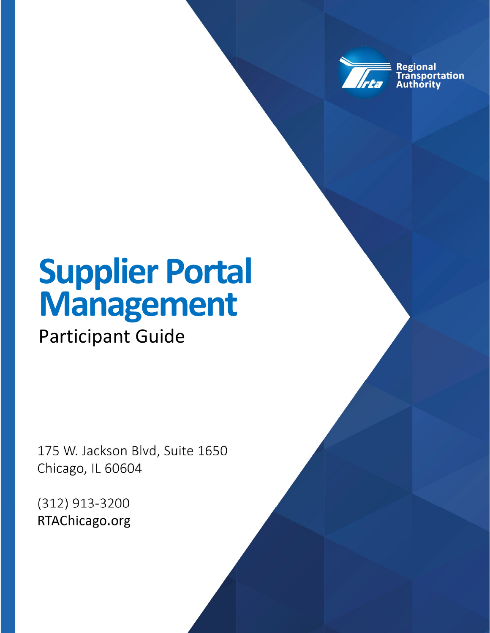

**Regional** ansportation hority

# **Supplier Portal Management**

Participant Guide

175 W. Jackson Blvd, Suite 1650 Chicago, IL 60604

(312) 913-3200 RTAChicago.org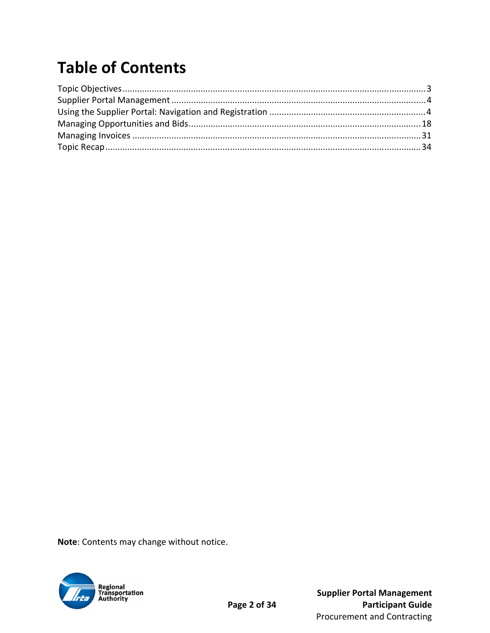# **Table of Contents**

Note: Contents may change without notice.

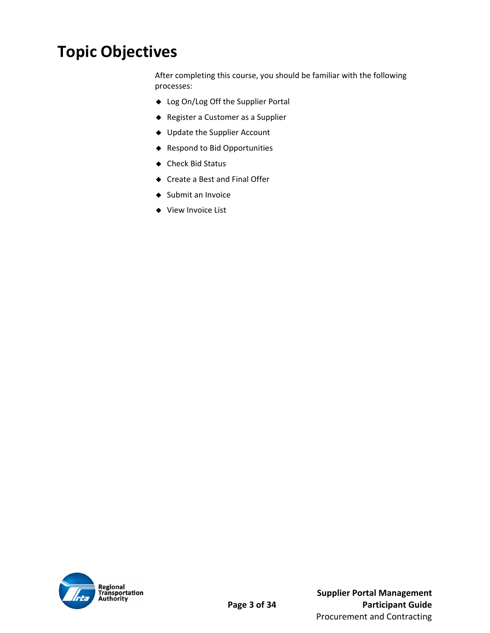## **Topic Objectives**

After completing this course, you should be familiar with the following processes:

- ◆ Log On/Log Off the Supplier Portal
- Register a Customer as a Supplier
- Update the Supplier Account
- ◆ Respond to Bid Opportunities
- ◆ Check Bid Status
- ◆ Create a Best and Final Offer
- ◆ Submit an Invoice
- ◆ View Invoice List

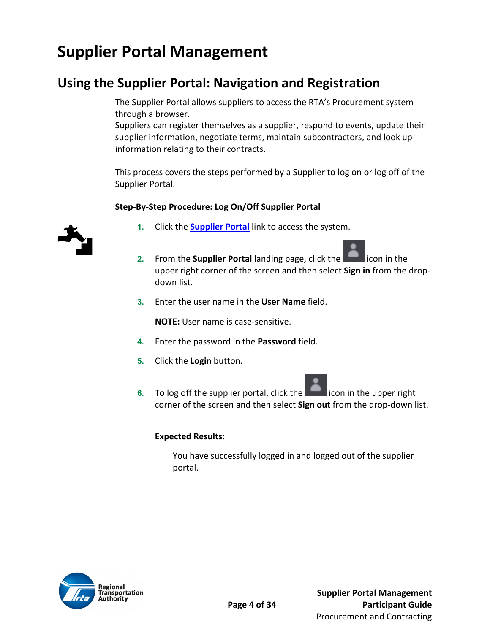# **Supplier Portal Management**

### **Using the Supplier Portal: Navigation and Registration**

The Supplier Portal allows suppliers to access the RTA's Procurement system through a browser.

Suppliers can register themselves as a supplier, respond to events, update their supplier information, negotiate terms, maintain subcontractors, and look up information relating to their contracts.

This process covers the steps performed by a Supplier to log on or log off of the Supplier Portal.

#### **Step‐By‐Step Procedure: Log On/Off Supplier Portal**



- **1.** Click the **Supplier Portal** link to access the system.
- **2.** From the **Supplier Portal** landing page, click the **Example 2.** icon in the upper right corner of the screen and then select **Sign in** from the drop‐ down list.
- **3.** Enter the user name in the **User Name** field.

**NOTE:** User name is case‐sensitive.

- **4.** Enter the password in the **Password** field.
- **5.** Click the **Login** button.
- **6.** To log off the supplier portal, click the **EXCO** icon in the upper right corner of the screen and then select **Sign out** from the drop‐down list.

#### **Expected Results:**

You have successfully logged in and logged out of the supplier portal.

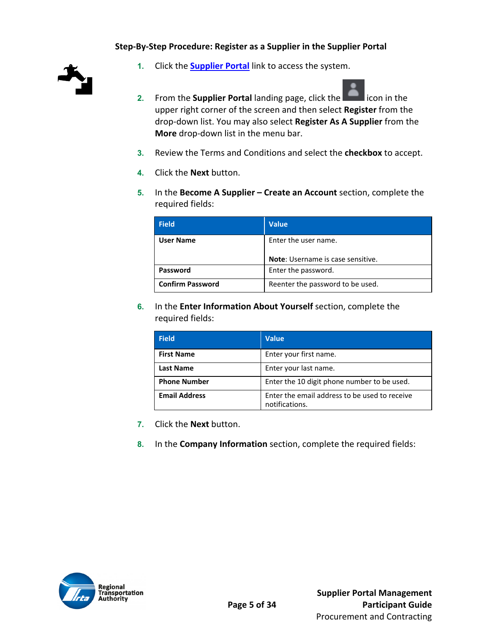#### **Step‐By‐Step Procedure: Register as a Supplier in the Supplier Portal**



- **1.** Click the **Supplier Portal** link to access the system.
- **2.** From the **Supplier Portal** landing page, click the **Edge of the interior** upper right corner of the screen and then select **Register** from the drop‐down list. You may also select **Register As A Supplier** from the **More** drop‐down list in the menu bar.
- **3.** Review the Terms and Conditions and select the **checkbox** to accept.
- **4.** Click the **Next** button.
- **5.** In the **Become A Supplier Create an Account** section, complete the required fields:

| <b>Field</b>            | <b>Value</b>                             |
|-------------------------|------------------------------------------|
| <b>User Name</b>        | Enter the user name.                     |
|                         | <b>Note:</b> Username is case sensitive. |
| Password                | Enter the password.                      |
| <b>Confirm Password</b> | Reenter the password to be used.         |

**6.** In the **Enter Information About Yourself** section, complete the required fields:

| <b>Field</b>         | <b>Value</b>                                                    |
|----------------------|-----------------------------------------------------------------|
| <b>First Name</b>    | Enter your first name.                                          |
| <b>Last Name</b>     | Enter your last name.                                           |
| <b>Phone Number</b>  | Enter the 10 digit phone number to be used.                     |
| <b>Email Address</b> | Enter the email address to be used to receive<br>notifications. |

- **7.** Click the **Next** button.
- **8.** In the **Company Information** section, complete the required fields:

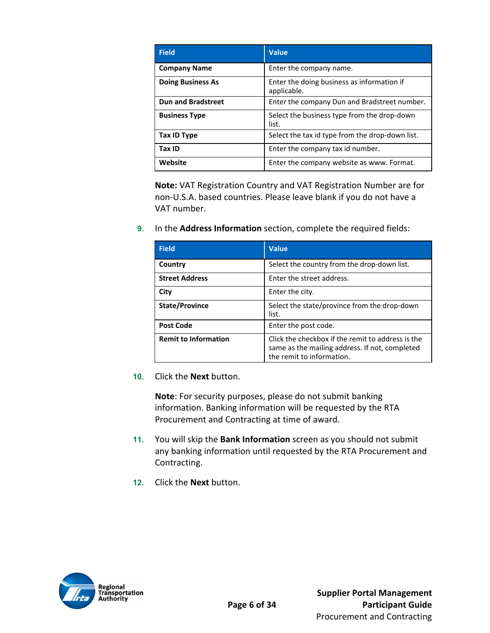| Field                     | <b>Value</b>                                              |
|---------------------------|-----------------------------------------------------------|
| <b>Company Name</b>       | Enter the company name.                                   |
| <b>Doing Business As</b>  | Enter the doing business as information if<br>applicable. |
| <b>Dun and Bradstreet</b> | Enter the company Dun and Bradstreet number.              |
| <b>Business Type</b>      | Select the business type from the drop-down<br>list.      |
| Tax ID Type               | Select the tax id type from the drop-down list.           |
| Tax ID                    | Enter the company tax id number.                          |
| Website                   | Enter the company website as www. Format.                 |

**Note:** VAT Registration Country and VAT Registration Number are for non‐U.S.A. based countries. Please leave blank if you do not have a VAT number.

**9.** In the **Address Information** section, complete the required fields:

| <b>Field</b>                | <b>Value</b>                                                                                                                     |
|-----------------------------|----------------------------------------------------------------------------------------------------------------------------------|
| Country                     | Select the country from the drop-down list.                                                                                      |
| <b>Street Address</b>       | Enter the street address.                                                                                                        |
| City                        | Enter the city.                                                                                                                  |
| <b>State/Province</b>       | Select the state/province from the drop-down<br>list.                                                                            |
| <b>Post Code</b>            | Enter the post code.                                                                                                             |
| <b>Remit to Information</b> | Click the checkbox if the remit to address is the<br>same as the mailing address. If not, completed<br>the remit to information. |

**10.** Click the **Next** button.

**Note**: For security purposes, please do not submit banking information. Banking information will be requested by the RTA Procurement and Contracting at time of award.

- **11.** You will skip the **Bank Information** screen as you should not submit any banking information until requested by the RTA Procurement and Contracting.
- **12.** Click the **Next** button.

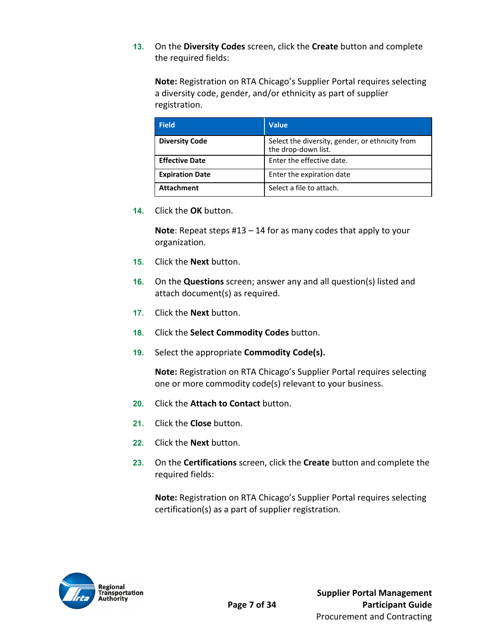**13.** On the **Diversity Codes** screen, click the **Create** button and complete the required fields:

**Note:** Registration on RTA Chicago's Supplier Portal requires selecting a diversity code, gender, and/or ethnicity as part of supplier registration.

| <b>Field</b>           | <b>Value</b>                                                           |
|------------------------|------------------------------------------------------------------------|
| <b>Diversity Code</b>  | Select the diversity, gender, or ethnicity from<br>the drop-down list. |
| <b>Effective Date</b>  | Enter the effective date.                                              |
| <b>Expiration Date</b> | Enter the expiration date                                              |
| <b>Attachment</b>      | Select a file to attach.                                               |

**14.** Click the **OK** button.

**Note**: Repeat steps #13 – 14 for as many codes that apply to your organization.

- **15.** Click the **Next** button.
- **16.** On the **Questions** screen; answer any and all question(s) listed and attach document(s) as required.
- **17.** Click the **Next** button.
- **18.** Click the **Select Commodity Codes** button.
- **19.** Select the appropriate **Commodity Code(s).**

**Note:** Registration on RTA Chicago's Supplier Portal requires selecting one or more commodity code(s) relevant to your business.

- **20.** Click the **Attach to Contact** button.
- **21.** Click the **Close** button.
- **22.** Click the **Next** button.
- **23.** On the **Certifications** screen, click the **Create** button and complete the required fields:

**Note:** Registration on RTA Chicago's Supplier Portal requires selecting certification(s) as a part of supplier registration.

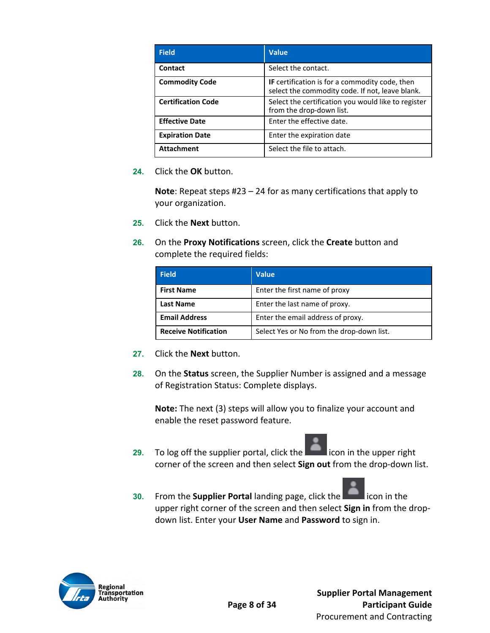| <b>Field</b>              | <b>Value</b>                                                                                             |
|---------------------------|----------------------------------------------------------------------------------------------------------|
| Contact                   | Select the contact.                                                                                      |
| <b>Commodity Code</b>     | <b>IF</b> certification is for a commodity code, then<br>select the commodity code. If not, leave blank. |
| <b>Certification Code</b> | Select the certification you would like to register<br>from the drop-down list.                          |
| <b>Effective Date</b>     | Enter the effective date.                                                                                |
| <b>Expiration Date</b>    | Enter the expiration date                                                                                |
| <b>Attachment</b>         | Select the file to attach.                                                                               |

**24.** Click the **OK** button.

**Note**: Repeat steps #23 – 24 for as many certifications that apply to your organization.

- **25.** Click the **Next** button.
- **26.** On the **Proxy Notifications** screen, click the **Create** button and complete the required fields:

| <b>Field</b>                | <b>Value</b>                              |
|-----------------------------|-------------------------------------------|
| <b>First Name</b>           | Enter the first name of proxy             |
| <b>Last Name</b>            | Enter the last name of proxy.             |
| <b>Email Address</b>        | Enter the email address of proxy.         |
| <b>Receive Notification</b> | Select Yes or No from the drop-down list. |

- **27.** Click the **Next** button.
- **28.** On the **Status** screen, the Supplier Number is assigned and a message of Registration Status: Complete displays.

**Note:** The next (3) steps will allow you to finalize your account and enable the reset password feature.

- **29.** To log off the supplier portal, click the **EXEC is a local contact the upper right** corner of the screen and then select **Sign out** from the drop-down list.
- **30.** From the **Supplier Portal** landing page, click the **Edward lie is conting to the** upper right corner of the screen and then select **Sign in** from the drop‐ down list. Enter your **User Name** and **Password** to sign in.

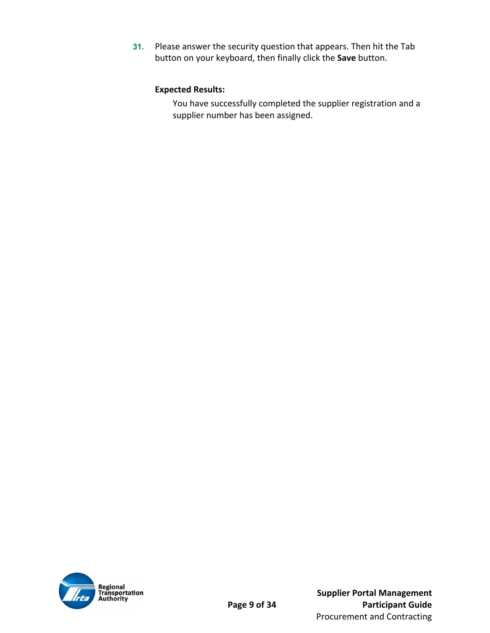**31.** Please answer the security question that appears. Then hit the Tab button on your keyboard, then finally click the **Save** button.

#### **Expected Results:**

You have successfully completed the supplier registration and a supplier number has been assigned.

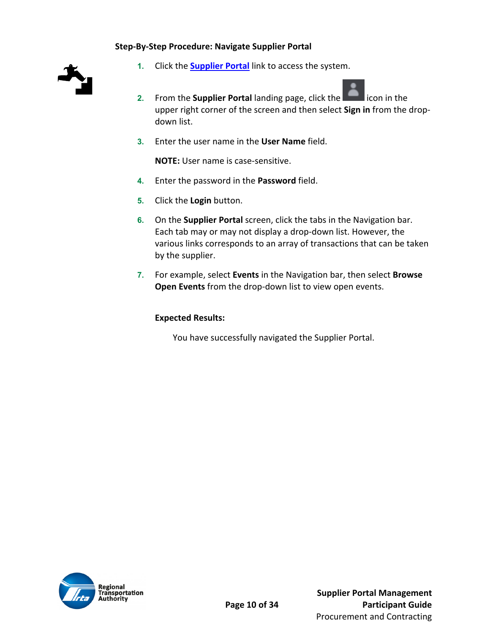#### **Step‐By‐Step Procedure: Navigate Supplier Portal**



- **1.** Click the **Supplier Portal** link to access the system.
- **2.** From the **Supplier Portal** landing page, click the **Edge of the state** icon in the upper right corner of the screen and then select **Sign in** from the drop‐ down list.
- **3.** Enter the user name in the **User Name** field.

**NOTE:** User name is case‐sensitive.

- **4.** Enter the password in the **Password** field.
- **5.** Click the **Login** button.
- **6.** On the **Supplier Portal** screen, click the tabs in the Navigation bar. Each tab may or may not display a drop‐down list. However, the various links corresponds to an array of transactions that can be taken by the supplier.
- **7.** For example, select **Events** in the Navigation bar, then select **Browse Open Events** from the drop‐down list to view open events.

#### **Expected Results:**

You have successfully navigated the Supplier Portal.

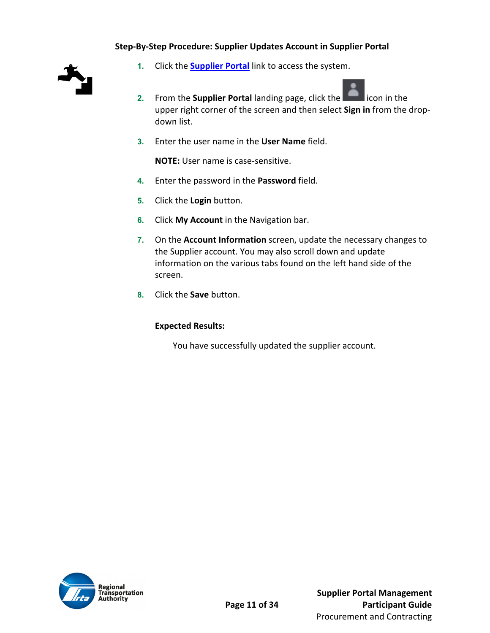#### **Step‐By‐Step Procedure: Supplier Updates Account in Supplier Portal**



- **1.** Click the **Supplier Portal** link to access the system.
- **2.** From the **Supplier Portal** landing page, click the **Example 2.** icon in the upper right corner of the screen and then select **Sign in** from the drop‐ down list.
- **3.** Enter the user name in the **User Name** field.

**NOTE:** User name is case‐sensitive.

- **4.** Enter the password in the **Password** field.
- **5.** Click the **Login** button.
- **6.** Click **My Account** in the Navigation bar.
- **7.** On the **Account Information** screen, update the necessary changes to the Supplier account. You may also scroll down and update information on the various tabs found on the left hand side of the screen.
- **8.** Click the **Save** button.

#### **Expected Results:**

You have successfully updated the supplier account.

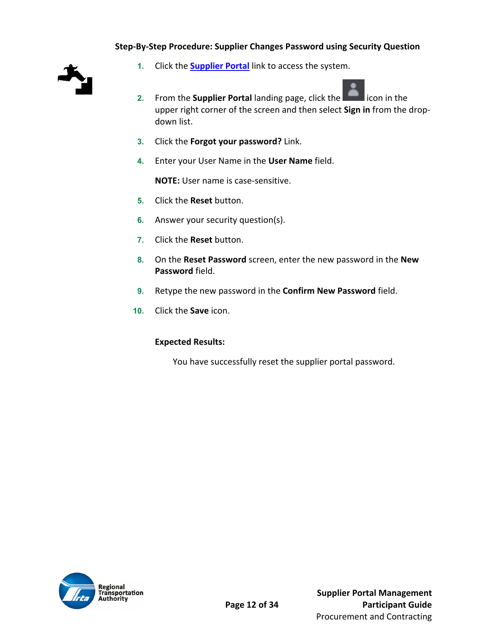#### **Step‐By‐Step Procedure: Supplier Changes Password using Security Question**



- **1.** Click the **Supplier Portal** link to access the system.
- **2.** From the **Supplier Portal** landing page, click the **Edge of the interior** upper right corner of the screen and then select **Sign in** from the drop‐ down list.
- **3.** Click the **Forgot your password?** Link.
- **4.** Enter your User Name in the **User Name** field.

**NOTE:** User name is case‐sensitive.

- **5.** Click the **Reset** button.
- **6.** Answer your security question(s).
- **7.** Click the **Reset** button.
- **8.** On the **Reset Password** screen, enter the new password in the **New Password** field.
- **9.** Retype the new password in the **Confirm New Password** field.
- **10.** Click the **Save** icon.

#### **Expected Results:**

You have successfully reset the supplier portal password.

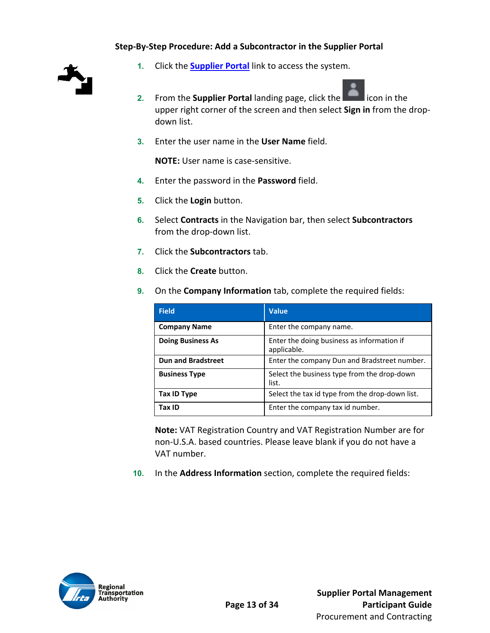#### **Step‐By‐Step Procedure: Add a Subcontractor in the Supplier Portal**



- **1.** Click the **Supplier Portal** link to access the system.
- **2.** From the **Supplier Portal** landing page, click the **Example 2.** icon in the upper right corner of the screen and then select **Sign in** from the drop‐ down list.
- **3.** Enter the user name in the **User Name** field.

**NOTE:** User name is case‐sensitive.

- **4.** Enter the password in the **Password** field.
- **5.** Click the **Login** button.
- **6.** Select **Contracts** in the Navigation bar, then select **Subcontractors** from the drop‐down list.
- **7.** Click the **Subcontractors** tab.
- **8.** Click the **Create** button.
- **9.** On the **Company Information** tab, complete the required fields:

| <b>Field</b>              | <b>Value</b>                                              |
|---------------------------|-----------------------------------------------------------|
| <b>Company Name</b>       | Enter the company name.                                   |
| <b>Doing Business As</b>  | Enter the doing business as information if<br>applicable. |
| <b>Dun and Bradstreet</b> | Enter the company Dun and Bradstreet number.              |
| <b>Business Type</b>      | Select the business type from the drop-down<br>list.      |
| <b>Tax ID Type</b>        | Select the tax id type from the drop-down list.           |
| Tax ID                    | Enter the company tax id number.                          |

**Note:** VAT Registration Country and VAT Registration Number are for non‐U.S.A. based countries. Please leave blank if you do not have a VAT number.

**10.** In the **Address Information** section, complete the required fields:

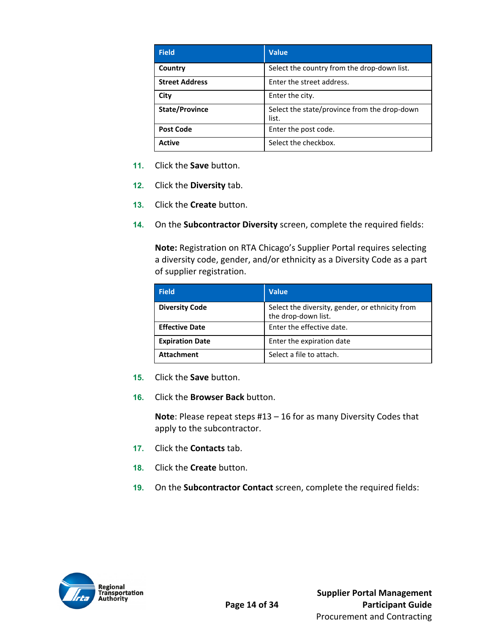| <b>Field</b>          | <b>Value</b>                                          |
|-----------------------|-------------------------------------------------------|
| Country               | Select the country from the drop-down list.           |
| <b>Street Address</b> | Enter the street address.                             |
| City                  | Enter the city.                                       |
| <b>State/Province</b> | Select the state/province from the drop-down<br>list. |
| <b>Post Code</b>      | Enter the post code.                                  |
| <b>Active</b>         | Select the checkbox.                                  |

- **11.** Click the **Save** button.
- **12.** Click the **Diversity** tab.
- **13.** Click the **Create** button.
- **14.** On the **Subcontractor Diversity** screen, complete the required fields:

**Note:** Registration on RTA Chicago's Supplier Portal requires selecting a diversity code, gender, and/or ethnicity as a Diversity Code as a part of supplier registration.

| <b>Field</b>           | <b>Value</b>                                                           |
|------------------------|------------------------------------------------------------------------|
| <b>Diversity Code</b>  | Select the diversity, gender, or ethnicity from<br>the drop-down list. |
| <b>Effective Date</b>  | Enter the effective date.                                              |
| <b>Expiration Date</b> | Enter the expiration date                                              |
| <b>Attachment</b>      | Select a file to attach.                                               |

- **15.** Click the **Save** button.
- **16.** Click the **Browser Back** button.

**Note**: Please repeat steps #13 – 16 for as many Diversity Codes that apply to the subcontractor.

- **17.** Click the **Contacts** tab.
- **18.** Click the **Create** button.
- **19.** On the **Subcontractor Contact** screen, complete the required fields:

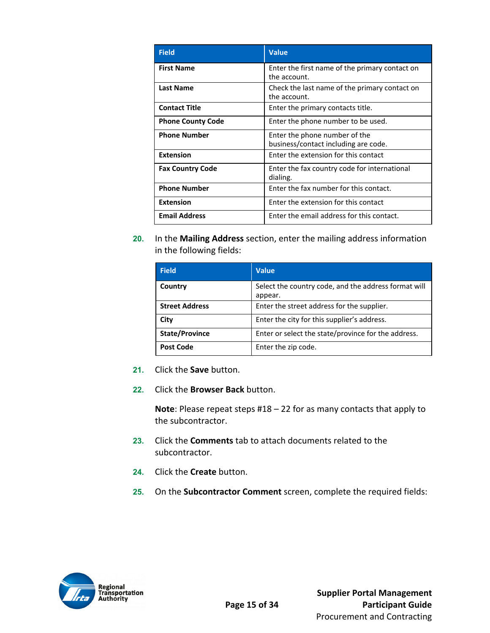| <b>Field</b>             | Value                                                                 |
|--------------------------|-----------------------------------------------------------------------|
| <b>First Name</b>        | Enter the first name of the primary contact on<br>the account.        |
| Last Name                | Check the last name of the primary contact on<br>the account.         |
| <b>Contact Title</b>     | Enter the primary contacts title.                                     |
| <b>Phone County Code</b> | Enter the phone number to be used.                                    |
| <b>Phone Number</b>      | Enter the phone number of the<br>business/contact including are code. |
| <b>Extension</b>         | Enter the extension for this contact                                  |
| <b>Fax Country Code</b>  | Enter the fax country code for international<br>dialing.              |
| <b>Phone Number</b>      | Enter the fax number for this contact.                                |
| <b>Extension</b>         | Enter the extension for this contact                                  |
| <b>Email Address</b>     | Enter the email address for this contact.                             |

**20.** In the **Mailing Address** section, enter the mailing address information in the following fields:

| <b>Field</b>          | <b>Value</b>                                                    |
|-----------------------|-----------------------------------------------------------------|
| Country               | Select the country code, and the address format will<br>appear. |
| <b>Street Address</b> | Enter the street address for the supplier.                      |
| City                  | Enter the city for this supplier's address.                     |
| <b>State/Province</b> | Enter or select the state/province for the address.             |
| <b>Post Code</b>      | Enter the zip code.                                             |

- **21.** Click the **Save** button.
- **22.** Click the **Browser Back** button.

**Note**: Please repeat steps #18 – 22 for as many contacts that apply to the subcontractor.

- **23.** Click the **Comments** tab to attach documents related to the subcontractor.
- **24.** Click the **Create** button.
- **25.** On the **Subcontractor Comment** screen, complete the required fields:

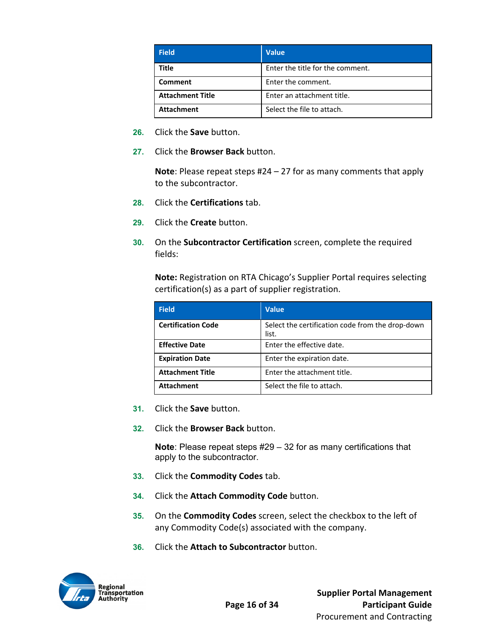| <b>Field</b>            | <b>Value</b>                     |
|-------------------------|----------------------------------|
| Title                   | Enter the title for the comment. |
| Comment                 | Enter the comment.               |
| <b>Attachment Title</b> | Enter an attachment title.       |
| <b>Attachment</b>       | Select the file to attach.       |

- **26.** Click the **Save** button.
- **27.** Click the **Browser Back** button.

**Note**: Please repeat steps #24 – 27 for as many comments that apply to the subcontractor.

- **28.** Click the **Certifications** tab.
- **29.** Click the **Create** button.
- **30.** On the **Subcontractor Certification** screen, complete the required fields:

**Note:** Registration on RTA Chicago's Supplier Portal requires selecting certification(s) as a part of supplier registration.

| <b>Field</b>              | <b>Value</b>                                              |
|---------------------------|-----------------------------------------------------------|
| <b>Certification Code</b> | Select the certification code from the drop-down<br>list. |
| <b>Effective Date</b>     | Enter the effective date.                                 |
| <b>Expiration Date</b>    | Enter the expiration date.                                |
| <b>Attachment Title</b>   | Enter the attachment title.                               |
| <b>Attachment</b>         | Select the file to attach.                                |

- **31.** Click the **Save** button.
- **32.** Click the **Browser Back** button.

**Note**: Please repeat steps #29 – 32 for as many certifications that apply to the subcontractor.

- **33.** Click the **Commodity Codes** tab.
- **34.** Click the **Attach Commodity Code** button.
- **35.** On the **Commodity Codes** screen, select the checkbox to the left of any Commodity Code(s) associated with the company.
- **36.** Click the **Attach to Subcontractor** button.

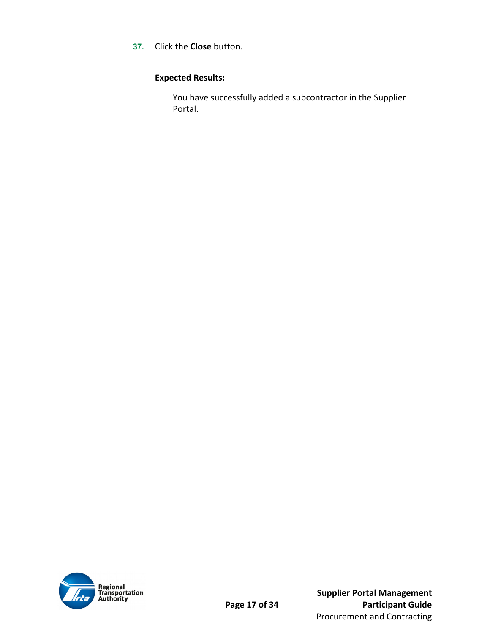**37.** Click the **Close** button.

#### **Expected Results:**

You have successfully added a subcontractor in the Supplier Portal.

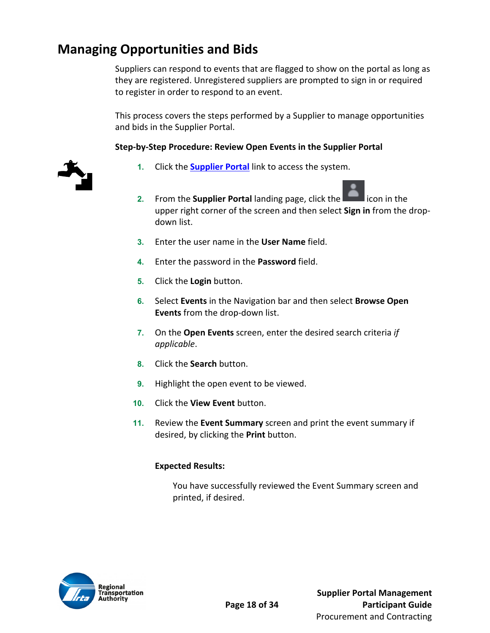### **Managing Opportunities and Bids**

Suppliers can respond to events that are flagged to show on the portal as long as they are registered. Unregistered suppliers are prompted to sign in or required to register in order to respond to an event.

This process covers the steps performed by a Supplier to manage opportunities and bids in the Supplier Portal.

#### **Step‐by‐Step Procedure: Review Open Events in the Supplier Portal**



- **1.** Click the **Supplier Portal** link to access the system.
- **2.** From the **Supplier Portal** landing page, click the **Education** icon in the upper right corner of the screen and then select **Sign in** from the drop‐ down list.
- **3.** Enter the user name in the **User Name** field.
- **4.** Enter the password in the **Password** field.
- **5.** Click the **Login** button.
- **6.** Select **Events** in the Navigation bar and then select **Browse Open Events** from the drop‐down list.
- **7.** On the **Open Events** screen, enter the desired search criteria *if applicable*.
- **8.** Click the **Search** button.
- **9.** Highlight the open event to be viewed.
- **10.** Click the **View Event** button.
- **11.** Review the **Event Summary** screen and print the event summary if desired, by clicking the **Print** button.

#### **Expected Results:**

You have successfully reviewed the Event Summary screen and printed, if desired.

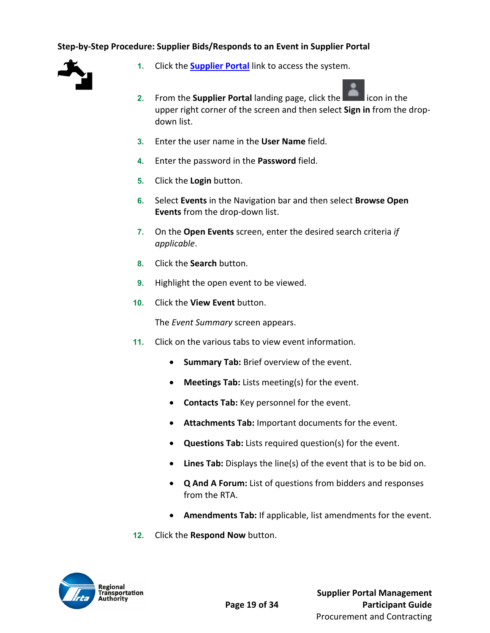#### **Step‐by‐Step Procedure: Supplier Bids/Responds to an Event in Supplier Portal**



- **1.** Click the **Supplier Portal** link to access the system.
- **2.** From the **Supplier Portal** landing page, click the **Edge of the Supplier Portal** licon in the upper right corner of the screen and then select **Sign in** from the drop‐ down list.
- **3.** Enter the user name in the **User Name** field.
- **4.** Enter the password in the **Password** field.
- **5.** Click the **Login** button.
- **6.** Select **Events** in the Navigation bar and then select **Browse Open Events** from the drop‐down list.
- **7.** On the **Open Events** screen, enter the desired search criteria *if applicable*.
- **8.** Click the **Search** button.
- **9.** Highlight the open event to be viewed.
- **10.** Click the **View Event** button.

The *Event Summary* screen appears.

- **11.** Click on the various tabs to view event information.
	- **Summary Tab:** Brief overview of the event.
	- **Meetings Tab:** Lists meeting(s) for the event.
	- **Contacts Tab:** Key personnel for the event.
	- **Attachments Tab:** Important documents for the event.
	- **Questions Tab:** Lists required question(s) for the event.
	- Lines Tab: Displays the line(s) of the event that is to be bid on.
	- **Q And A Forum:** List of questions from bidders and responses from the RTA.
	- **Amendments Tab:** If applicable, list amendments for the event.
- **12.** Click the **Respond Now** button.

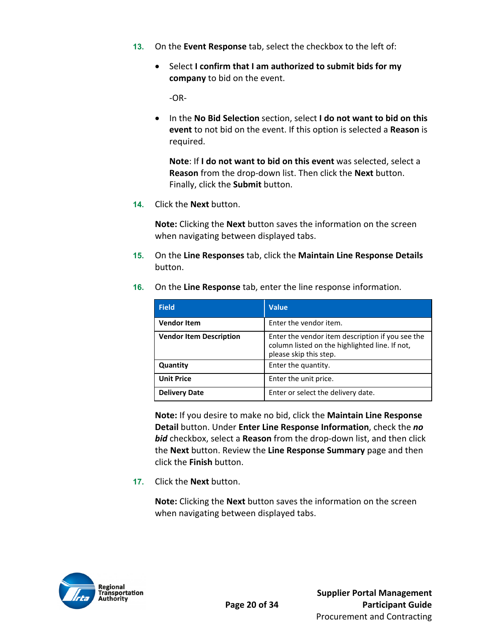- **13.** On the **Event Response** tab, select the checkbox to the left of:
	- Select **I confirm that I am authorized to submit bids for my company** to bid on the event.

‐OR‐

 In the **No Bid Selection** section, select **I do not want to bid on this event** to not bid on the event. If this option is selected a **Reason** is required.

**Note**: If **I do not want to bid on this event** was selected, select a **Reason** from the drop‐down list. Then click the **Next** button. Finally, click the **Submit** button.

**14.** Click the **Next** button.

**Note:** Clicking the **Next** button saves the information on the screen when navigating between displayed tabs.

**15.** On the **Line Responses** tab, click the **Maintain Line Response Details** button.

| <b>Field</b>                   | <b>Value</b>                                                                                                                 |
|--------------------------------|------------------------------------------------------------------------------------------------------------------------------|
| <b>Vendor Item</b>             | Enter the vendor item.                                                                                                       |
| <b>Vendor Item Description</b> | Enter the vendor item description if you see the<br>column listed on the highlighted line. If not,<br>please skip this step. |
| Quantity                       | Enter the quantity.                                                                                                          |
| <b>Unit Price</b>              | Enter the unit price.                                                                                                        |
| <b>Delivery Date</b>           | Enter or select the delivery date.                                                                                           |

**16.** On the **Line Response** tab, enter the line response information.

**Note:** If you desire to make no bid, click the **Maintain Line Response Detail** button. Under **Enter Line Response Information**, check the *no bid* checkbox, select a **Reason** from the drop‐down list, and then click the **Next** button. Review the **Line Response Summary** page and then click the **Finish** button.

**17.** Click the **Next** button.

**Note:** Clicking the **Next** button saves the information on the screen when navigating between displayed tabs.

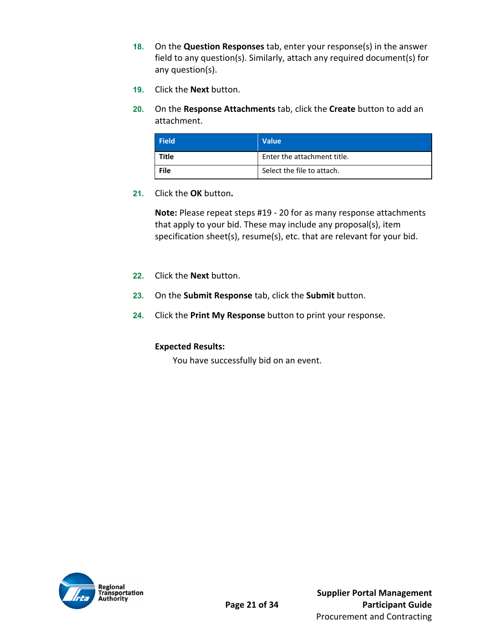- **18.** On the **Question Responses** tab, enter your response(s) in the answer field to any question(s). Similarly, attach any required document(s) for any question(s).
- **19.** Click the **Next** button.
- **20.** On the **Response Attachments** tab, click the **Create** button to add an attachment.

| <b>Field</b> | <b>Value</b>                |
|--------------|-----------------------------|
| Title        | Enter the attachment title. |
| File         | Select the file to attach.  |

**21.** Click the **OK** button**.** 

**Note:** Please repeat steps #19 ‐ 20 for as many response attachments that apply to your bid. These may include any proposal(s), item specification sheet(s), resume(s), etc. that are relevant for your bid.

- **22.** Click the **Next** button.
- **23.** On the **Submit Response** tab, click the **Submit** button.
- **24.** Click the **Print My Response** button to print your response.

#### **Expected Results:**

You have successfully bid on an event.

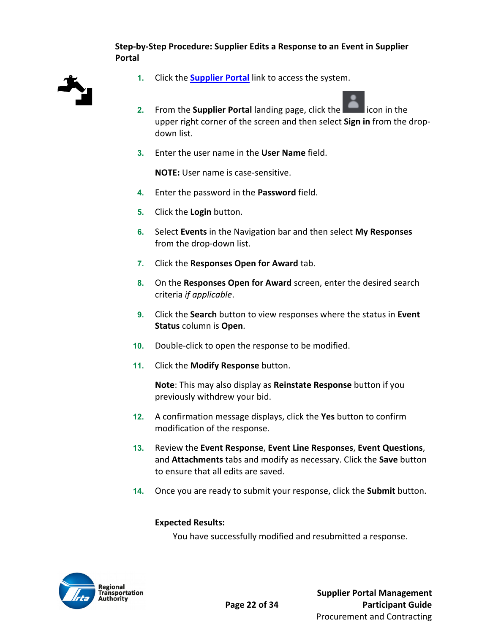#### **Step‐by‐Step Procedure: Supplier Edits a Response to an Event in Supplier Portal**



- **1.** Click the **Supplier Portal** link to access the system.
- **2.** From the **Supplier Portal** landing page, click the **Edge of the Supplier Portal** licon in the upper right corner of the screen and then select **Sign in** from the drop‐ down list.
- **3.** Enter the user name in the **User Name** field.

**NOTE:** User name is case‐sensitive.

- **4.** Enter the password in the **Password** field.
- **5.** Click the **Login** button.
- **6.** Select **Events** in the Navigation bar and then select **My Responses** from the drop‐down list.
- **7.** Click the **Responses Open for Award** tab.
- **8.** On the **Responses Open for Award** screen, enter the desired search criteria *if applicable*.
- **9.** Click the **Search** button to view responses where the status in **Event Status** column is **Open**.
- 10. Double-click to open the response to be modified.
- **11.** Click the **Modify Response** button.

**Note**: This may also display as **Reinstate Response** button if you previously withdrew your bid.

- **12.** A confirmation message displays, click the **Yes** button to confirm modification of the response.
- **13.** Review the **Event Response**, **Event Line Responses**, **Event Questions**, and **Attachments** tabs and modify as necessary. Click the **Save** button to ensure that all edits are saved.
- **14.** Once you are ready to submit your response, click the **Submit** button.

#### **Expected Results:**

You have successfully modified and resubmitted a response.

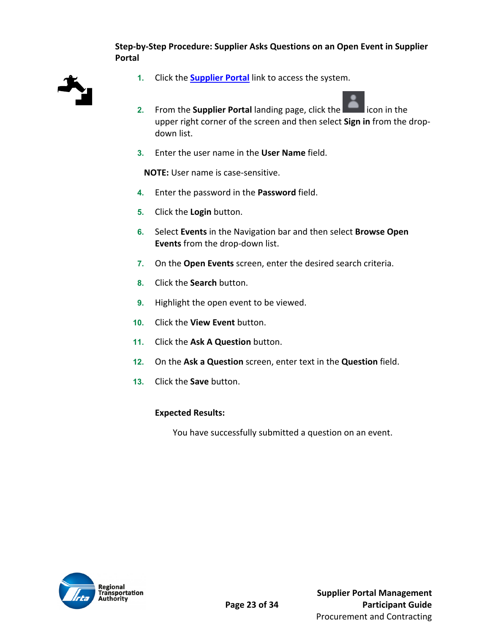#### **Step‐by‐Step Procedure: Supplier Asks Questions on an Open Event in Supplier Portal**



- **1.** Click the **Supplier Portal** link to access the system.
- **2.** From the **Supplier Portal** landing page, click the **Edge of the state** icon in the upper right corner of the screen and then select **Sign in** from the drop‐ down list.
- **3.** Enter the user name in the **User Name** field.

**NOTE:** User name is case‐sensitive.

- **4.** Enter the password in the **Password** field.
- **5.** Click the **Login** button.
- **6.** Select **Events** in the Navigation bar and then select **Browse Open Events** from the drop‐down list.
- **7.** On the **Open Events** screen, enter the desired search criteria.
- **8.** Click the **Search** button.
- **9.** Highlight the open event to be viewed.
- **10.** Click the **View Event** button.
- **11.** Click the **Ask A Question** button.
- **12.** On the **Ask a Question** screen, enter text in the **Question** field.
- **13.** Click the **Save** button.

#### **Expected Results:**

You have successfully submitted a question on an event.

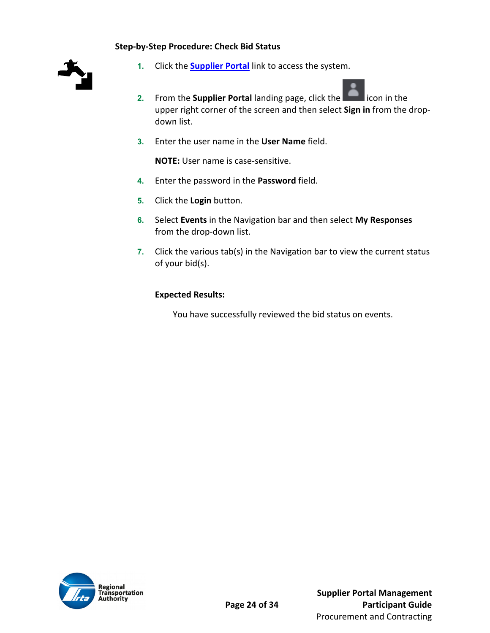#### **Step‐by‐Step Procedure: Check Bid Status**



- **1.** Click the **Supplier Portal** link to access the system.
- **2.** From the **Supplier Portal** landing page, click the **Example 2.** icon in the upper right corner of the screen and then select **Sign in** from the drop‐ down list.
- **3.** Enter the user name in the **User Name** field.

**NOTE:** User name is case‐sensitive.

- **4.** Enter the password in the **Password** field.
- **5.** Click the **Login** button.
- **6.** Select **Events** in the Navigation bar and then select **My Responses** from the drop‐down list.
- **7.** Click the various tab(s) in the Navigation bar to view the current status of your bid(s).

#### **Expected Results:**

You have successfully reviewed the bid status on events.

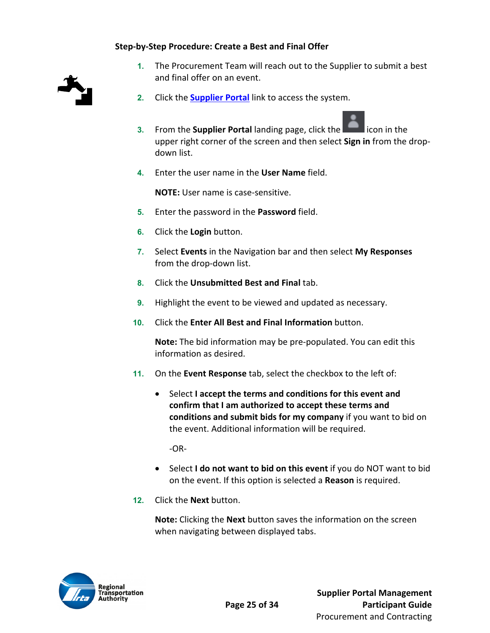#### **Step‐by‐Step Procedure: Create a Best and Final Offer**



- **1.** The Procurement Team will reach out to the Supplier to submit a best and final offer on an event.
- **2.** Click the **Supplier Portal** link to access the system.
- **3.** From the **Supplier Portal** landing page, click the **Education** icon in the upper right corner of the screen and then select **Sign in** from the drop‐ down list.
- **4.** Enter the user name in the **User Name** field.

**NOTE:** User name is case‐sensitive.

- **5.** Enter the password in the **Password** field.
- **6.** Click the **Login** button.
- **7.** Select **Events** in the Navigation bar and then select **My Responses** from the drop‐down list.
- **8.** Click the **Unsubmitted Best and Final** tab.
- **9.** Highlight the event to be viewed and updated as necessary.
- **10.** Click the **Enter All Best and Final Information** button.

**Note:** The bid information may be pre‐populated. You can edit this information as desired.

- **11.** On the **Event Response** tab, select the checkbox to the left of:
	- Select **I accept the terms and conditions for this event and confirm that I am authorized to accept these terms and conditions and submit bids for my company** if you want to bid on the event. Additional information will be required.

 $-OR-$ 

- Select **I do not want to bid on this event** if you do NOT want to bid on the event. If this option is selected a **Reason** is required.
- **12.** Click the **Next** button.

**Note:** Clicking the **Next** button saves the information on the screen when navigating between displayed tabs.

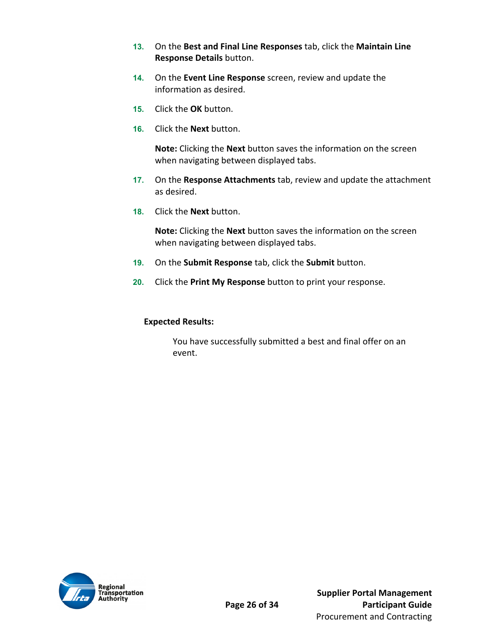- **13.** On the **Best and Final Line Responses** tab, click the **Maintain Line Response Details** button.
- **14.** On the **Event Line Response** screen, review and update the information as desired.
- **15.** Click the **OK** button.
- **16.** Click the **Next** button.

**Note:** Clicking the **Next** button saves the information on the screen when navigating between displayed tabs.

- **17.** On the **Response Attachments** tab, review and update the attachment as desired.
- **18.** Click the **Next** button.

**Note:** Clicking the **Next** button saves the information on the screen when navigating between displayed tabs.

- **19.** On the **Submit Response** tab, click the **Submit** button.
- **20.** Click the **Print My Response** button to print your response.

#### **Expected Results:**

You have successfully submitted a best and final offer on an event.

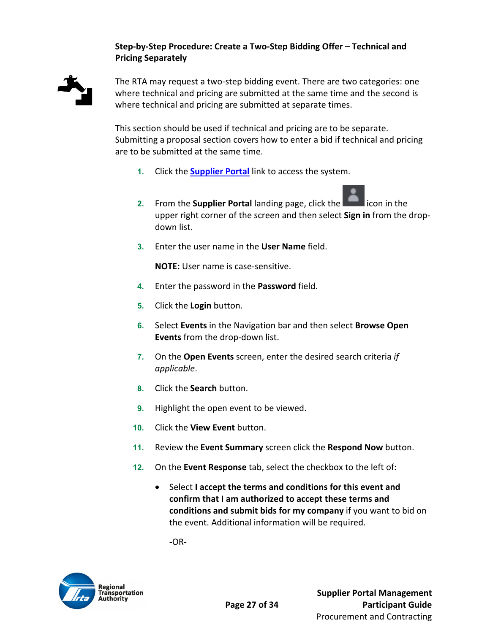#### **Step‐by‐Step Procedure: Create a Two‐Step Bidding Offer – Technical and Pricing Separately**



The RTA may request a two‐step bidding event. There are two categories: one where technical and pricing are submitted at the same time and the second is where technical and pricing are submitted at separate times.

This section should be used if technical and pricing are to be separate. Submitting a proposal section covers how to enter a bid if technical and pricing are to be submitted at the same time.

- **1.** Click the **Supplier Portal** link to access the system.
- **2.** From the **Supplier Portal** landing page, click the **Edge of inducts** icon in the upper right corner of the screen and then select **Sign in** from the drop‐ down list.
- **3.** Enter the user name in the **User Name** field.

**NOTE:** User name is case‐sensitive.

- **4.** Enter the password in the **Password** field.
- **5.** Click the **Login** button.
- **6.** Select **Events** in the Navigation bar and then select **Browse Open Events** from the drop‐down list.
- **7.** On the **Open Events** screen, enter the desired search criteria *if applicable*.
- **8.** Click the **Search** button.
- **9.** Highlight the open event to be viewed.
- **10.** Click the **View Event** button.
- **11.** Review the **Event Summary** screen click the **Respond Now** button.
- **12.** On the **Event Response** tab, select the checkbox to the left of:
	- Select **I accept the terms and conditions for this event and confirm that I am authorized to accept these terms and conditions and submit bids for my company** if you want to bid on the event. Additional information will be required.

‐OR‐

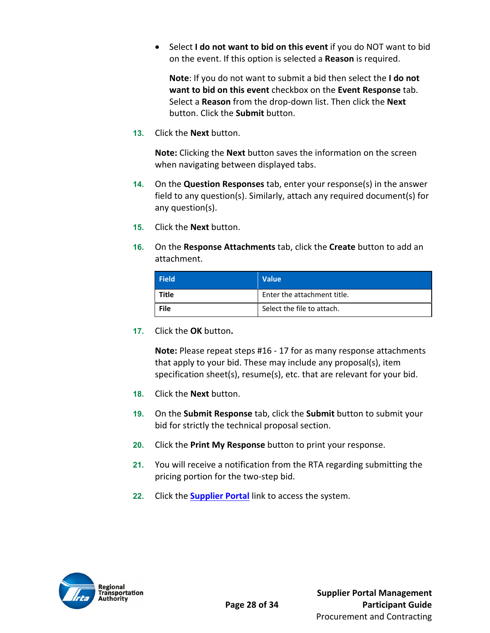Select **I do not want to bid on this event** if you do NOT want to bid on the event. If this option is selected a **Reason** is required.

**Note**: If you do not want to submit a bid then select the **I do not want to bid on this event** checkbox on the **Event Response** tab. Select a **Reason** from the drop‐down list. Then click the **Next** button. Click the **Submit** button.

**13.** Click the **Next** button.

**Note:** Clicking the **Next** button saves the information on the screen when navigating between displayed tabs.

- **14.** On the **Question Responses** tab, enter your response(s) in the answer field to any question(s). Similarly, attach any required document(s) for any question(s).
- **15.** Click the **Next** button.
- **16.** On the **Response Attachments** tab, click the **Create** button to add an attachment.

| <b>Field</b> | <b>Value</b>                |
|--------------|-----------------------------|
| Title        | Enter the attachment title. |
| File         | Select the file to attach.  |

**17.** Click the **OK** button**.** 

**Note:** Please repeat steps #16 ‐ 17 for as many response attachments that apply to your bid. These may include any proposal(s), item specification sheet(s), resume(s), etc. that are relevant for your bid.

- **18.** Click the **Next** button.
- **19.** On the **Submit Response** tab, click the **Submit** button to submit your bid for strictly the technical proposal section.
- **20.** Click the **Print My Response** button to print your response.
- **21.** You will receive a notification from the RTA regarding submitting the pricing portion for the two‐step bid.
- **22.** Click the **Supplier Portal** link to access the system.

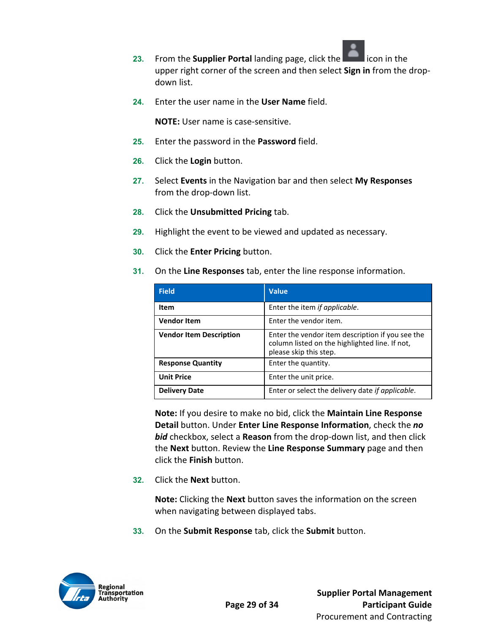

- **23.** From the **Supplier Portal** landing page, click the **Education** icon in the upper right corner of the screen and then select **Sign in** from the drop‐ down list.
- **24.** Enter the user name in the **User Name** field.

**NOTE:** User name is case‐sensitive.

- **25.** Enter the password in the **Password** field.
- **26.** Click the **Login** button.
- **27.** Select **Events** in the Navigation bar and then select **My Responses** from the drop‐down list.
- **28.** Click the **Unsubmitted Pricing** tab.
- **29.** Highlight the event to be viewed and updated as necessary.
- **30.** Click the **Enter Pricing** button.
- **31.** On the **Line Responses** tab, enter the line response information.

| <b>Field</b>                   | <b>Value</b>                                                                                                                 |
|--------------------------------|------------------------------------------------------------------------------------------------------------------------------|
| <b>Item</b>                    | Enter the item if applicable.                                                                                                |
| <b>Vendor Item</b>             | Enter the vendor item.                                                                                                       |
| <b>Vendor Item Description</b> | Enter the vendor item description if you see the<br>column listed on the highlighted line. If not,<br>please skip this step. |
| <b>Response Quantity</b>       | Enter the quantity.                                                                                                          |
| <b>Unit Price</b>              | Enter the unit price.                                                                                                        |
| <b>Delivery Date</b>           | Enter or select the delivery date if applicable.                                                                             |

**Note:** If you desire to make no bid, click the **Maintain Line Response Detail** button. Under **Enter Line Response Information**, check the *no bid* checkbox, select a **Reason** from the drop‐down list, and then click the **Next** button. Review the **Line Response Summary** page and then click the **Finish** button.

**32.** Click the **Next** button.

**Note:** Clicking the **Next** button saves the information on the screen when navigating between displayed tabs.

**33.** On the **Submit Response** tab, click the **Submit** button.

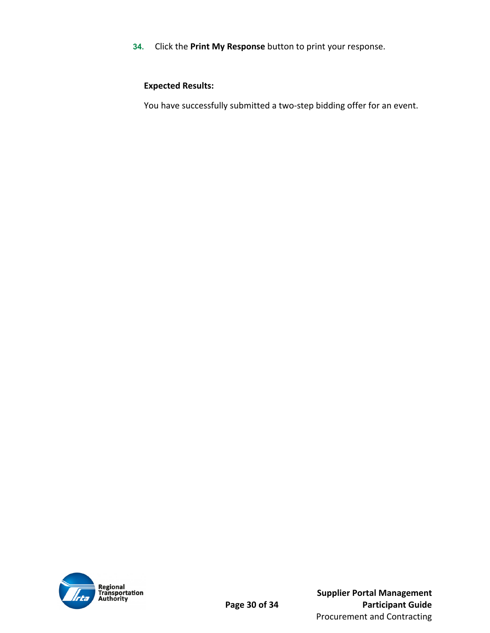**34.** Click the **Print My Response** button to print your response.

#### **Expected Results:**

You have successfully submitted a two-step bidding offer for an event.



 **Supplier Portal Management Page 30 of 34 Participant Guide** Procurement and Contracting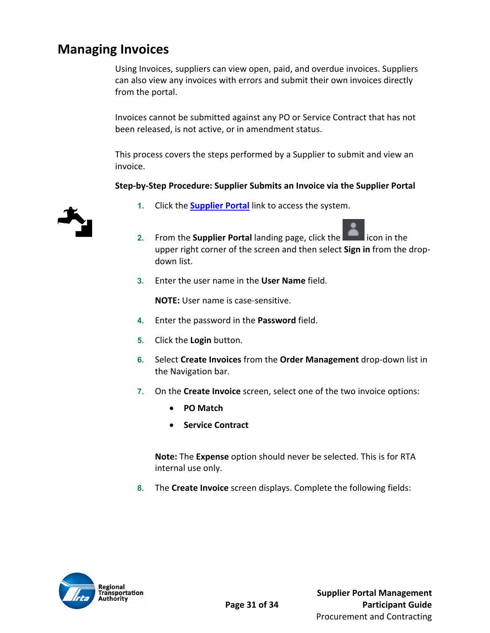### **Managing Invoices**

Using Invoices, suppliers can view open, paid, and overdue invoices. Suppliers can also view any invoices with errors and submit their own invoices directly from the portal.

Invoices cannot be submitted against any PO or Service Contract that has not been released, is not active, or in amendment status.

This process covers the steps performed by a Supplier to submit and view an invoice.

#### **Step‐by‐Step Procedure: Supplier Submits an Invoice via the Supplier Portal**



- **1.** Click the **Supplier Portal** link to access the system.
- **2.** From the **Supplier Portal** landing page, click the **Example 2.** icon in the upper right corner of the screen and then select **Sign in** from the drop‐ down list.
- **3.** Enter the user name in the **User Name** field.

**NOTE:** User name is case‐sensitive.

- **4.** Enter the password in the **Password** field.
- **5.** Click the **Login** button.
- **6.** Select **Create Invoices** from the **Order Management** drop‐down list in the Navigation bar.
- **7.** On the **Create Invoice** screen, select one of the two invoice options:
	- **PO Match**
	- **Service Contract**

**Note:** The **Expense** option should never be selected. This is for RTA internal use only.

**8.** The **Create Invoice** screen displays. Complete the following fields:

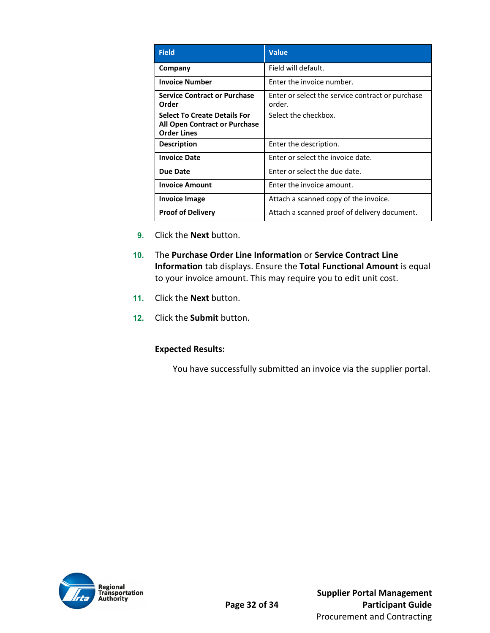| <b>Field</b>                                                                               | <b>Value</b>                                               |
|--------------------------------------------------------------------------------------------|------------------------------------------------------------|
| Company                                                                                    | Field will default.                                        |
| <b>Invoice Number</b>                                                                      | Enter the invoice number.                                  |
| <b>Service Contract or Purchase</b><br>Order                                               | Enter or select the service contract or purchase<br>order. |
| <b>Select To Create Details For</b><br>All Open Contract or Purchase<br><b>Order Lines</b> | Select the checkbox.                                       |
| <b>Description</b>                                                                         | Enter the description.                                     |
| <b>Invoice Date</b>                                                                        | Enter or select the invoice date.                          |
| <b>Due Date</b>                                                                            | Enter or select the due date.                              |
| <b>Invoice Amount</b>                                                                      | Enter the invoice amount.                                  |
| Invoice Image                                                                              | Attach a scanned copy of the invoice.                      |
| <b>Proof of Delivery</b>                                                                   | Attach a scanned proof of delivery document.               |

- **9.** Click the **Next** button.
- **10.** The **Purchase Order Line Information** or **Service Contract Line Information** tab displays. Ensure the **Total Functional Amount** is equal to your invoice amount. This may require you to edit unit cost.
- **11.** Click the **Next** button.
- **12.** Click the **Submit** button.

#### **Expected Results:**

You have successfully submitted an invoice via the supplier portal.

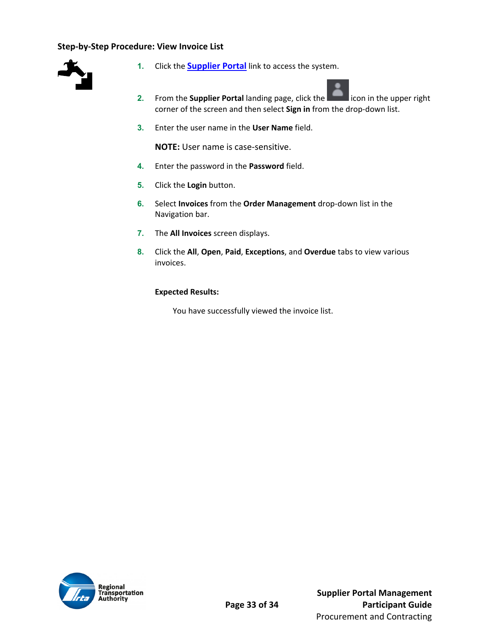#### **Step‐by‐Step Procedure: View Invoice List**



- **1.** Click the **Supplier Portal** link to access the system.
- **2.** From the **Supplier Portal** landing page, click the **Election** icon in the upper right corner of the screen and then select **Sign in** from the drop‐down list.
- **3.** Enter the user name in the **User Name** field.

**NOTE:** User name is case‐sensitive.

- **4.** Enter the password in the **Password** field.
- **5.** Click the **Login** button.
- **6.** Select **Invoices** from the **Order Management** drop‐down list in the Navigation bar.
- **7.** The **All Invoices** screen displays.
- **8.** Click the **All**, **Open**, **Paid**, **Exceptions**, and **Overdue** tabs to view various invoices.

#### **Expected Results:**

You have successfully viewed the invoice list.